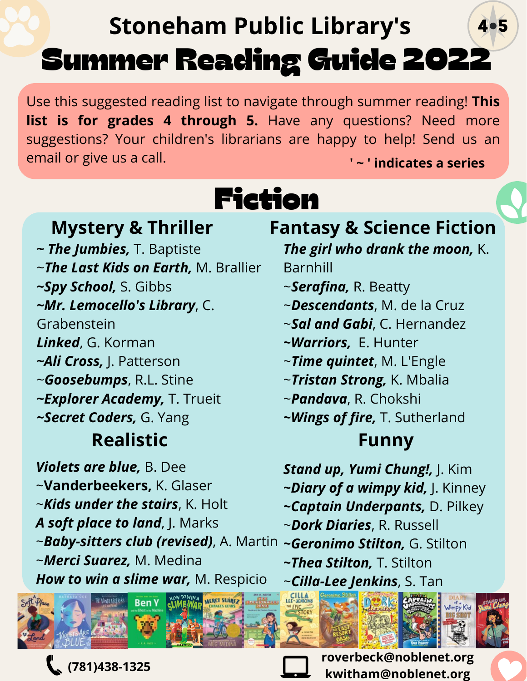### Summer Reading Guide 2022 4.5 **Stoneham Public Library's**

Use this suggested reading list to navigate through summer reading! **This list is for grades 4 through 5.** Have any questions? Need more suggestions? Your children's librarians are happy to help! Send us an email or give us a call. **' ~ ' indicates a series**

# Fiction

**Realistic Funny**  *~ The Jumbies,* T. Baptiste ~*The Last Kids on Earth,* M. Brallier *~Spy School,* S. Gibbs *~Mr. Lemocello's Library*, C. Grabenstein *Linked*, G. Korman *~Ali Cross,* J. Patterson ~*Goosebumps*, R.L. Stine *~Explorer Academy,* T. Trueit *~Secret Coders,* G. Yang

*Violets are blue,* B. Dee ~**Vanderbeekers,** K. Glaser ~*Kids under the stairs*, K. Holt *A soft place to land*, J. Marks ~*Baby-sitters club (revised)*, A. Martin *~Geronimo Stilton,* G. Stilton ~*Merci Suarez,* M. Medina *How to win a slime war,* M. Respicio



**(781)438-1325**

**Mystery & Thriller Fantasy & Science Fiction**

*The girl who drank the moon,* K. Barnhill

- ~*Serafina,* R. Beatty
- ~*Descendants*, M. de la Cruz
- ~*Sal and Gabi*, C. Hernandez
- *~Warriors,* E. Hunter
- ~*Time quintet*, M. L'Engle
- ~*Tristan Strong,* K. Mbalia
- ~*Pandava*, R. Chokshi
- *~Wings of fire,* T. Sutherland

- *Stand up, Yumi Chung!,* J. Kim
- *~Diary of a wimpy kid,* J. Kinney
- *~Captain Underpants,* D. Pilkey
- ~*Dork Diaries*, R. Russell
- 
- *~Thea Stilton,* T. Stilton
- ~*Cilla-Lee Jenkins*, S. Tan